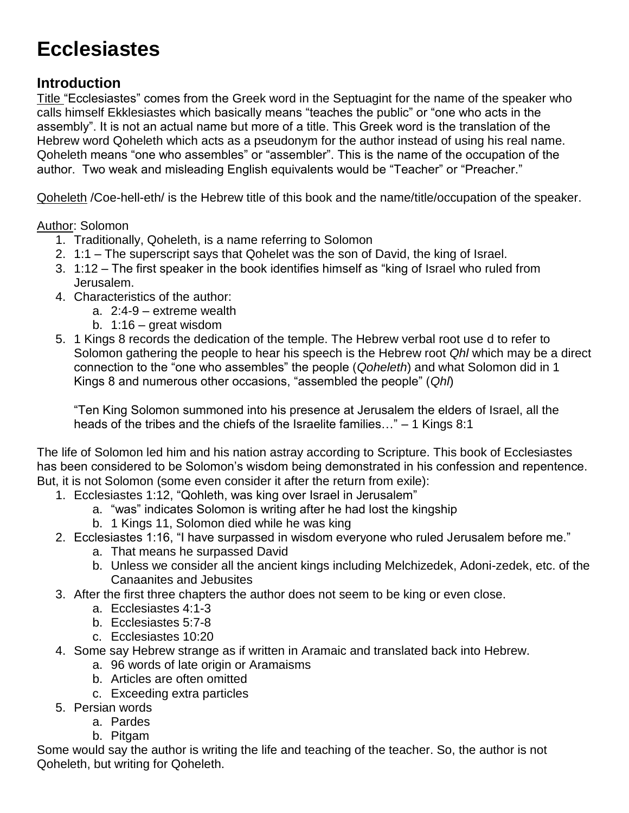# **Ecclesiastes**

## **Introduction**

Title "Ecclesiastes" comes from the Greek word in the Septuagint for the name of the speaker who calls himself Ekklesiastes which basically means "teaches the public" or "one who acts in the assembly". It is not an actual name but more of a title. This Greek word is the translation of the Hebrew word Qoheleth which acts as a pseudonym for the author instead of using his real name. Qoheleth means "one who assembles" or "assembler". This is the name of the occupation of the author. Two weak and misleading English equivalents would be "Teacher" or "Preacher."

Qoheleth /Coe-hell-eth/ is the Hebrew title of this book and the name/title/occupation of the speaker.

Author: Solomon

- 1. Traditionally, Qoheleth, is a name referring to Solomon
- 2. 1:1 The superscript says that Qohelet was the son of David, the king of Israel.
- 3. 1:12 The first speaker in the book identifies himself as "king of Israel who ruled from Jerusalem.
- 4. Characteristics of the author:
	- a. 2:4-9 extreme wealth
	- b. 1:16 great wisdom
- 5. 1 Kings 8 records the dedication of the temple. The Hebrew verbal root use d to refer to Solomon gathering the people to hear his speech is the Hebrew root *Qhl* which may be a direct connection to the "one who assembles" the people (*Qoheleth*) and what Solomon did in 1 Kings 8 and numerous other occasions, "assembled the people" (*Qhl*)

"Ten King Solomon summoned into his presence at Jerusalem the elders of Israel, all the heads of the tribes and the chiefs of the Israelite families…" – 1 Kings 8:1

The life of Solomon led him and his nation astray according to Scripture. This book of Ecclesiastes has been considered to be Solomon's wisdom being demonstrated in his confession and repentence. But, it is not Solomon (some even consider it after the return from exile):

- 1. Ecclesiastes 1:12, "Qohleth, was king over Israel in Jerusalem"
	- a. "was" indicates Solomon is writing after he had lost the kingship
	- b. 1 Kings 11, Solomon died while he was king
- 2. Ecclesiastes 1:16, "I have surpassed in wisdom everyone who ruled Jerusalem before me."
	- a. That means he surpassed David
	- b. Unless we consider all the ancient kings including Melchizedek, Adoni-zedek, etc. of the Canaanites and Jebusites
- 3. After the first three chapters the author does not seem to be king or even close.
	- a. Ecclesiastes 4:1-3
	- b. Ecclesiastes 5:7-8
	- c. Ecclesiastes 10:20
- 4. Some say Hebrew strange as if written in Aramaic and translated back into Hebrew.
	- a. 96 words of late origin or Aramaisms
	- b. Articles are often omitted
	- c. Exceeding extra particles
- 5. Persian words
	- a. Pardes
	- b. Pitgam

Some would say the author is writing the life and teaching of the teacher. So, the author is not Qoheleth, but writing for Qoheleth.